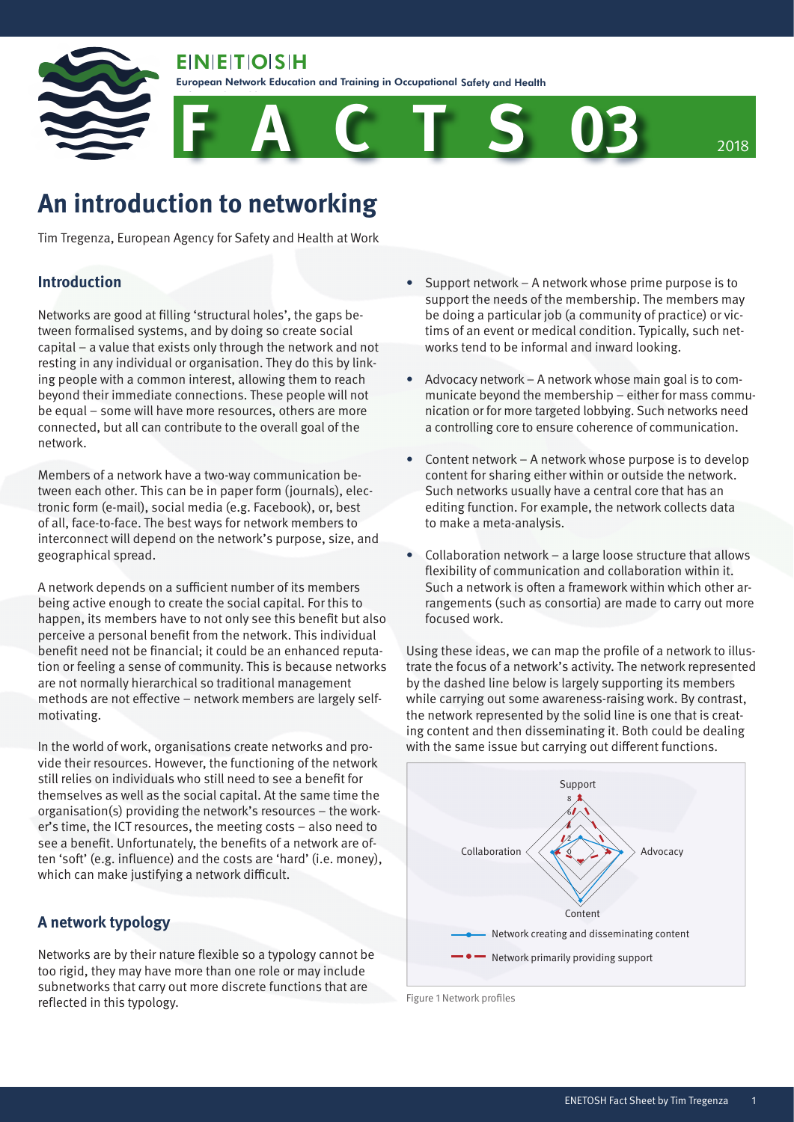**EIN EIT OIS H** 

Safety and Health

European Network Education and Training in Occupational Safety and Health

**F A C T S 03** <sup>2018</sup>

# **An introduction to networking**

Tim Tregenza, European Agency for Safety and Health at Work

## **Introduction**

Networks are good at filling 'structural holes', the gaps between formalised systems, and by doing so create social capital – a value that exists only through the network and not resting in any individual or organisation. They do this by linking people with a common interest, allowing them to reach beyond their immediate connections. These people will not be equal – some will have more resources, others are more connected, but all can contribute to the overall goal of the network.

Members of a network have a two-way communication between each other. This can be in paper form (journals), electronic form (e-mail), social media (e.g. Facebook), or, best of all, face-to-face. The best ways for network members to interconnect will depend on the network's purpose, size, and geographical spread.

A network depends on a sufficient number of its members being active enough to create the social capital. For this to happen, its members have to not only see this benefit but also perceive a personal benefit from the network. This individual benefit need not be financial; it could be an enhanced reputation or feeling a sense of community. This is because networks are not normally hierarchical so traditional management methods are not effective – network members are largely selfmotivating.

In the world of work, organisations create networks and provide their resources. However, the functioning of the network still relies on individuals who still need to see a benefit for themselves as well as the social capital. At the same time the organisation(s) providing the network's resources – the worker's time, the ICT resources, the meeting costs – also need to see a benefit. Unfortunately, the benefits of a network are often 'soft' (e.g. influence) and the costs are 'hard' (i.e. money), which can make justifying a network difficult.

## **A network typology**

Networks are by their nature flexible so a typology cannot be too rigid, they may have more than one role or may include subnetworks that carry out more discrete functions that are reflected in this typology.

- Support network A network whose prime purpose is to support the needs of the membership. The members may be doing a particular job (a community of practice) or victims of an event or medical condition. Typically, such networks tend to be informal and inward looking.
- Advocacy network A network whose main goal is to communicate beyond the membership – either for mass communication or for more targeted lobbying. Such networks need a controlling core to ensure coherence of communication.
- Content network A network whose purpose is to develop content for sharing either within or outside the network. Such networks usually have a central core that has an editing function. For example, the network collects data to make a meta-analysis.
- Collaboration network a large loose structure that allows flexibility of communication and collaboration within it. Such a network is often a framework within which other arrangements (such as consortia) are made to carry out more focused work.

Using these ideas, we can map the profile of a network to illustrate the focus of a network's activity. The network represented by the dashed line below is largely supporting its members while carrying out some awareness-raising work. By contrast, the network represented by the solid line is one that is creating content and then disseminating it. Both could be dealing with the same issue but carrying out different functions.



Figure 1 Network profiles